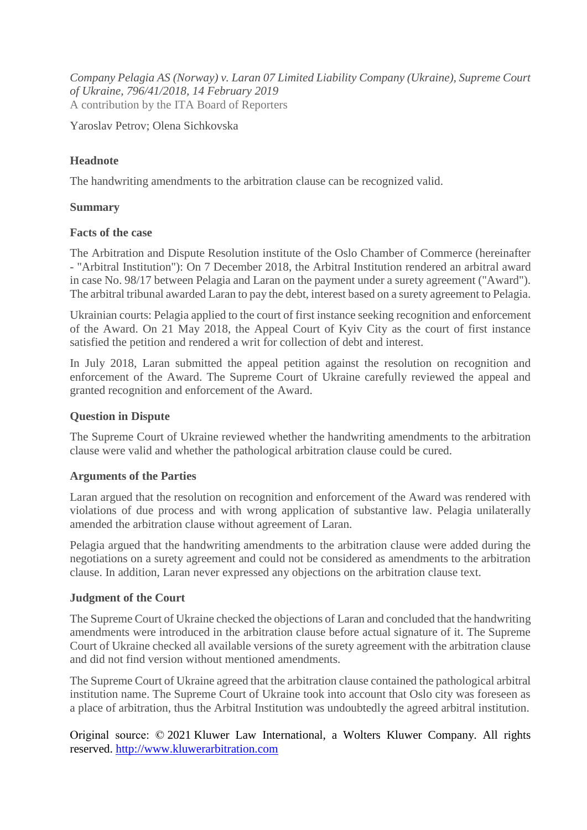*Company Pelagia AS (Norway) v. Laran 07 Limited Liability Company (Ukraine), Supreme Court of Ukraine, 796/41/2018, 14 February 2019* A contribution by the ITA Board of Reporters

Yaroslav Petrov; Olena Sichkovska

# **Headnote**

The handwriting amendments to the arbitration clause can be recognized valid.

## **Summary**

#### **Facts of the case**

The Arbitration and Dispute Resolution institute of the Oslo Chamber of Commerce (hereinafter - "Arbitral Institution"): On 7 December 2018, the Arbitral Institution rendered an arbitral award in case No. 98/17 between Pelagia and Laran on the payment under a surety agreement ("Award"). The arbitral tribunal awarded Laran to pay the debt, interest based on a surety agreement to Pelagia.

Ukrainian courts: Pelagia applied to the court of first instance seeking recognition and enforcement of the Award. On 21 May 2018, the Appeal Court of Kyiv City as the court of first instance satisfied the petition and rendered a writ for collection of debt and interest.

In July 2018, Laran submitted the appeal petition against the resolution on recognition and enforcement of the Award. The Supreme Court of Ukraine carefully reviewed the appeal and granted recognition and enforcement of the Award.

### **Question in Dispute**

The Supreme Court of Ukraine reviewed whether the handwriting amendments to the arbitration clause were valid and whether the pathological arbitration clause could be cured.

## **Arguments of the Parties**

Laran argued that the resolution on recognition and enforcement of the Award was rendered with violations of due process and with wrong application of substantive law. Pelagia unilaterally amended the arbitration clause without agreement of Laran.

Pelagia argued that the handwriting amendments to the arbitration clause were added during the negotiations on a surety agreement and could not be considered as amendments to the arbitration clause. In addition, Laran never expressed any objections on the arbitration clause text.

## **Judgment of the Court**

The Supreme Court of Ukraine checked the objections of Laran and concluded that the handwriting amendments were introduced in the arbitration clause before actual signature of it. The Supreme Court of Ukraine checked all available versions of the surety agreement with the arbitration clause and did not find version without mentioned amendments.

The Supreme Court of Ukraine agreed that the arbitration clause contained the pathological arbitral institution name. The Supreme Court of Ukraine took into account that Oslo city was foreseen as a place of arbitration, thus the Arbitral Institution was undoubtedly the agreed arbitral institution.

Original source: © 2021 Kluwer Law International, a Wolters Kluwer Company. All rights reserved. [http://www.kluwerarbitration.com](http://www.kluwerarbitration.com/)